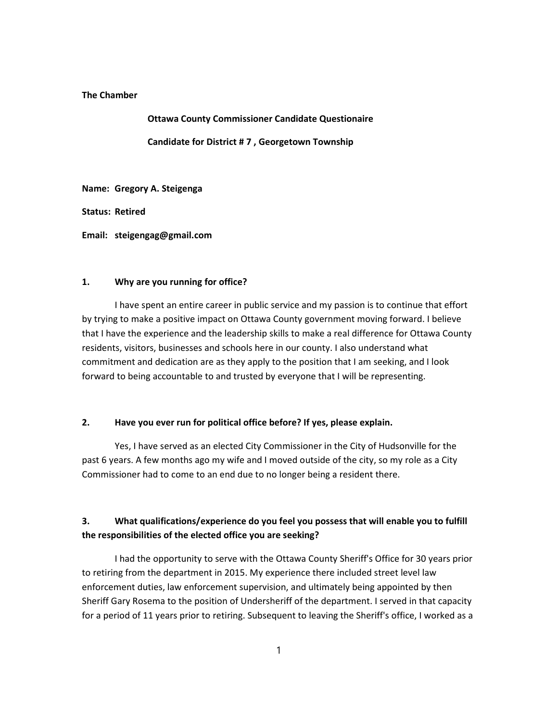### The Chamber

Ottawa County Commissioner Candidate Questionaire Candidate for District # 7 , Georgetown Township

Name: Gregory A. Steigenga

Status: Retired

Email: steigengag@gmail.com

#### 1. Why are you running for office?

I have spent an entire career in public service and my passion is to continue that effort by trying to make a positive impact on Ottawa County government moving forward. I believe that I have the experience and the leadership skills to make a real difference for Ottawa County residents, visitors, businesses and schools here in our county. I also understand what commitment and dedication are as they apply to the position that I am seeking, and I look forward to being accountable to and trusted by everyone that I will be representing.

### 2. Have you ever run for political office before? If yes, please explain.

Yes, I have served as an elected City Commissioner in the City of Hudsonville for the past 6 years. A few months ago my wife and I moved outside of the city, so my role as a City Commissioner had to come to an end due to no longer being a resident there.

### 3. What qualifications/experience do you feel you possess that will enable you to fulfill the responsibilities of the elected office you are seeking?

I had the opportunity to serve with the Ottawa County Sheriff's Office for 30 years prior to retiring from the department in 2015. My experience there included street level law enforcement duties, law enforcement supervision, and ultimately being appointed by then Sheriff Gary Rosema to the position of Undersheriff of the department. I served in that capacity for a period of 11 years prior to retiring. Subsequent to leaving the Sheriff's office, I worked as a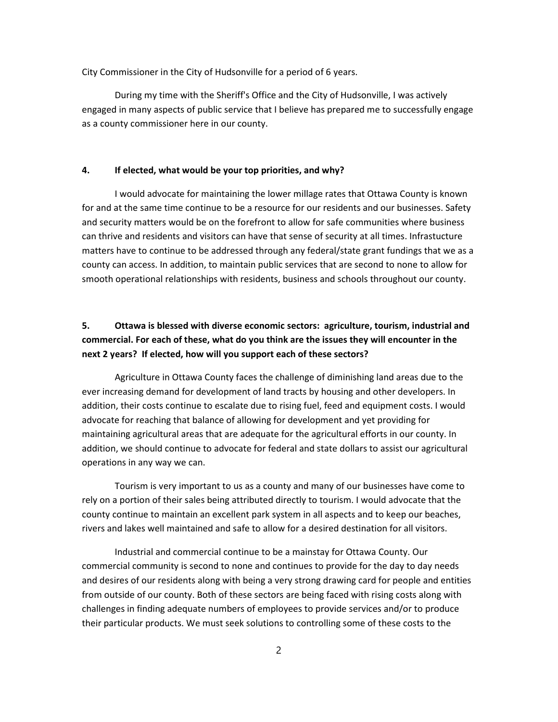City Commissioner in the City of Hudsonville for a period of 6 years.

During my time with the Sheriff's Office and the City of Hudsonville, I was actively engaged in many aspects of public service that I believe has prepared me to successfully engage as a county commissioner here in our county.

#### 4. If elected, what would be your top priorities, and why?

I would advocate for maintaining the lower millage rates that Ottawa County is known for and at the same time continue to be a resource for our residents and our businesses. Safety and security matters would be on the forefront to allow for safe communities where business can thrive and residents and visitors can have that sense of security at all times. Infrastucture matters have to continue to be addressed through any federal/state grant fundings that we as a county can access. In addition, to maintain public services that are second to none to allow for smooth operational relationships with residents, business and schools throughout our county.

# 5. Ottawa is blessed with diverse economic sectors: agriculture, tourism, industrial and commercial. For each of these, what do you think are the issues they will encounter in the next 2 years? If elected, how will you support each of these sectors?

Agriculture in Ottawa County faces the challenge of diminishing land areas due to the ever increasing demand for development of land tracts by housing and other developers. In addition, their costs continue to escalate due to rising fuel, feed and equipment costs. I would advocate for reaching that balance of allowing for development and yet providing for maintaining agricultural areas that are adequate for the agricultural efforts in our county. In addition, we should continue to advocate for federal and state dollars to assist our agricultural operations in any way we can.

Tourism is very important to us as a county and many of our businesses have come to rely on a portion of their sales being attributed directly to tourism. I would advocate that the county continue to maintain an excellent park system in all aspects and to keep our beaches, rivers and lakes well maintained and safe to allow for a desired destination for all visitors.

Industrial and commercial continue to be a mainstay for Ottawa County. Our commercial community is second to none and continues to provide for the day to day needs and desires of our residents along with being a very strong drawing card for people and entities from outside of our county. Both of these sectors are being faced with rising costs along with challenges in finding adequate numbers of employees to provide services and/or to produce their particular products. We must seek solutions to controlling some of these costs to the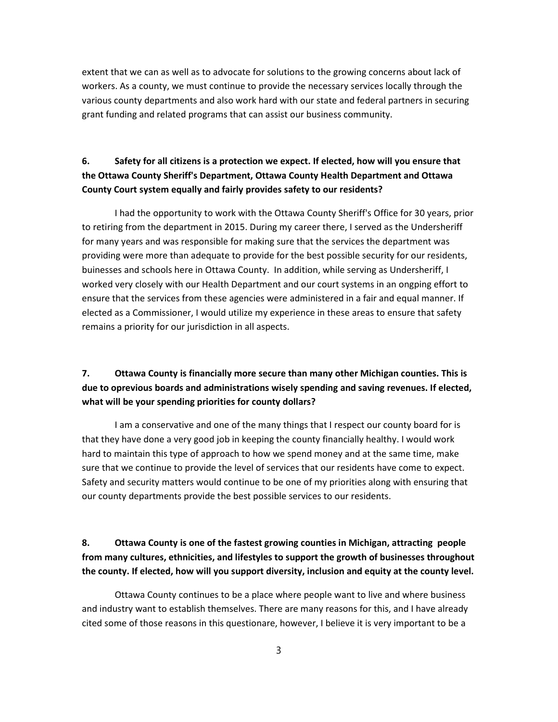extent that we can as well as to advocate for solutions to the growing concerns about lack of workers. As a county, we must continue to provide the necessary services locally through the various county departments and also work hard with our state and federal partners in securing grant funding and related programs that can assist our business community.

## 6. Safety for all citizens is a protection we expect. If elected, how will you ensure that the Ottawa County Sheriff's Department, Ottawa County Health Department and Ottawa County Court system equally and fairly provides safety to our residents?

I had the opportunity to work with the Ottawa County Sheriff's Office for 30 years, prior to retiring from the department in 2015. During my career there, I served as the Undersheriff for many years and was responsible for making sure that the services the department was providing were more than adequate to provide for the best possible security for our residents, buinesses and schools here in Ottawa County. In addition, while serving as Undersheriff, I worked very closely with our Health Department and our court systems in an ongping effort to ensure that the services from these agencies were administered in a fair and equal manner. If elected as a Commissioner, I would utilize my experience in these areas to ensure that safety remains a priority for our jurisdiction in all aspects.

## 7. Ottawa County is financially more secure than many other Michigan counties. This is due to oprevious boards and administrations wisely spending and saving revenues. If elected, what will be your spending priorities for county dollars?

I am a conservative and one of the many things that I respect our county board for is that they have done a very good job in keeping the county financially healthy. I would work hard to maintain this type of approach to how we spend money and at the same time, make sure that we continue to provide the level of services that our residents have come to expect. Safety and security matters would continue to be one of my priorities along with ensuring that our county departments provide the best possible services to our residents.

# 8. Ottawa County is one of the fastest growing counties in Michigan, attracting people from many cultures, ethnicities, and lifestyles to support the growth of businesses throughout the county. If elected, how will you support diversity, inclusion and equity at the county level.

Ottawa County continues to be a place where people want to live and where business and industry want to establish themselves. There are many reasons for this, and I have already cited some of those reasons in this questionare, however, I believe it is very important to be a